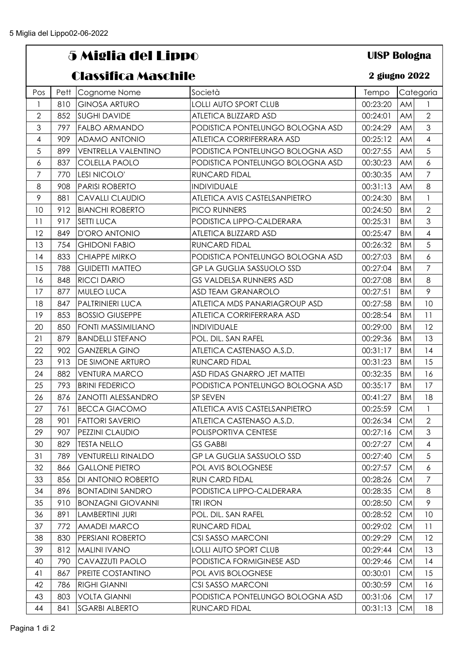## 5 Miglia del Lippo

## Classifica Maschile

## **UISP Bologna**

## **2 giugno 2022**

| Pos                      | Pett | Cognome Nome               | Società                          | Tempo    |           | Categoria                |
|--------------------------|------|----------------------------|----------------------------------|----------|-----------|--------------------------|
| $\mathbf{1}$             | 810  | <b>GINOSA ARTURO</b>       | <b>LOLLI AUTO SPORT CLUB</b>     | 00:23:20 | AM        | 1                        |
| $\overline{2}$           | 852  | <b>SUGHI DAVIDE</b>        | ATLETICA BLIZZARD ASD            | 00:24:01 | AM        | $\overline{2}$           |
| 3                        | 797  | <b>FALBO ARMANDO</b>       | PODISTICA PONTELUNGO BOLOGNA ASD | 00:24:29 | AM        | $\mathfrak{S}$           |
| $\overline{\mathcal{A}}$ | 909  | ADAMO ANTONIO              | ATLETICA CORRIFERRARA ASD        | 00:25:12 | AM        | $\overline{4}$           |
| $\sqrt{5}$               | 899  | <b>VENTRELLA VALENTINO</b> | PODISTICA PONTELUNGO BOLOGNA ASD | 00:27:55 | AM        | 5                        |
| 6                        | 837  | <b>COLELLA PAOLO</b>       | PODISTICA PONTELUNGO BOLOGNA ASD | 00:30:23 | AM        | $\epsilon$               |
| $\overline{7}$           | 770  | LESI NICOLO'               | <b>RUNCARD FIDAL</b>             | 00:30:35 | AM        | $\overline{7}$           |
| 8                        | 908  | <b>PARISI ROBERTO</b>      | <b>INDIVIDUALE</b>               | 00:31:13 | AM        | 8                        |
| 9                        | 881  | <b>CAVALLI CLAUDIO</b>     | ATLETICA AVIS CASTELSANPIETRO    | 00:24:30 | <b>BM</b> | $\mathbf{1}$             |
| 10                       | 912  | <b>BIANCHI ROBERTO</b>     | PICO RUNNERS                     | 00:24:50 | <b>BM</b> | $\overline{2}$           |
| 11                       | 917  | <b>SETTI LUCA</b>          | PODISTICA LIPPO-CALDERARA        | 00:25:31 | <b>BM</b> | 3                        |
| 12                       | 849  | D'ORO ANTONIO              | ATLETICA BLIZZARD ASD            | 00:25:47 | <b>BM</b> | $\overline{\mathcal{A}}$ |
| 13                       | 754  | <b>GHIDONI FABIO</b>       | <b>RUNCARD FIDAL</b>             | 00:26:32 | <b>BM</b> | 5                        |
| 14                       | 833  | <b>CHIAPPE MIRKO</b>       | PODISTICA PONTELUNGO BOLOGNA ASD | 00:27:03 | <b>BM</b> | 6                        |
| 15                       | 788  | <b>GUIDETTI MATTEO</b>     | GP LA GUGLIA SASSUOLO SSD        | 00:27:04 | <b>BM</b> | $\overline{7}$           |
| 16                       | 848  | <b>RICCI DARIO</b>         | GS VALDELSA RUNNERS ASD          | 00:27:08 | <b>BM</b> | $\,8\,$                  |
| 17                       | 877  | MULEO LUCA                 | <b>ASD TEAM GRANAROLO</b>        | 00:27:51 | <b>BM</b> | $\mathcal{P}$            |
| 18                       | 847  | PALTRINIERI LUCA           | ATLETICA MDS PANARIAGROUP ASD    | 00:27:58 | <b>BM</b> | 10                       |
| 19                       | 853  | <b>BOSSIO GIUSEPPE</b>     | ATLETICA CORRIFERRARA ASD        | 00:28:54 | <b>BM</b> | 11                       |
| 20                       | 850  | FONTI MASSIMILIANO         | <b>INDIVIDUALE</b>               | 00:29:00 | <b>BM</b> | 12                       |
| 21                       | 879  | <b>BANDELLI STEFANO</b>    | POL. DIL. SAN RAFEL              | 00:29:36 | <b>BM</b> | 13                       |
| 22                       | 902  | <b>GANZERLA GINO</b>       | ATLETICA CASTENASO A.S.D.        | 00:31:17 | <b>BM</b> | 4                        |
| 23                       | 913  | DE SIMONE ARTURO           | RUNCARD FIDAL                    | 00:31:23 | <b>BM</b> | 15                       |
| 24                       | 882  | <b>VENTURA MARCO</b>       | ASD FIDAS GNARRO JET MATTEI      | 00:32:35 | <b>BM</b> | 16                       |
| 25                       | 793  | <b>BRINI FEDERICO</b>      | PODISTICA PONTELUNGO BOLOGNA ASD | 00:35:17 | <b>BM</b> | 17                       |
| 26                       | 876  | <b>ZANOTTI ALESSANDRO</b>  | SP SEVEN                         | 00:41:27 | <b>BM</b> | 18                       |
| 27                       | 761  | <b>BECCA GIACOMO</b>       | ATLETICA AVIS CASTELSANPIETRO    | 00:25:59 | <b>CM</b> | $\mathbf{1}$             |
| 28                       | 901  | <b>FATTORI SAVERIO</b>     | ATLETICA CASTENASO A.S.D.        | 00:26:34 | <b>CM</b> | $\overline{2}$           |
| 29                       | 907  | PEZZINI CLAUDIO            | POLISPORTIVA CENTESE             | 00:27:16 | CM        | $\mathfrak{S}$           |
| 30                       | 829  | <b>TESTA NELLO</b>         | GS GABBI                         | 00:27:27 | СM        | $\overline{4}$           |
| 31                       | 789  | <b>VENTURELLI RINALDO</b>  | <b>GP LA GUGLIA SASSUOLO SSD</b> | 00:27:40 | <b>CM</b> | 5                        |
| 32                       | 866  | <b>GALLONE PIETRO</b>      | POL AVIS BOLOGNESE               | 00:27:57 | <b>CM</b> | 6                        |
| 33                       | 856  | DI ANTONIO ROBERTO         | RUN CARD FIDAL                   | 00:28:26 | СM        | 7                        |
| 34                       | 896  | <b>BONTADINI SANDRO</b>    | PODISTICA LIPPO-CALDERARA        | 00:28:35 | <b>CM</b> | 8                        |
| 35                       | 910  | <b>BONZAGNI GIOVANNI</b>   | TRI IRON                         | 00:28:50 | <b>CM</b> | 9                        |
| 36                       | 891  | LAMBERTINI JURI            | POL. DIL. SAN RAFEL              | 00:28:52 | <b>CM</b> | 10                       |
| 37                       | 772  | AMADEI MARCO               | RUNCARD FIDAL                    | 00:29:02 | СM        | 11                       |
| 38                       | 830  | PERSIANI ROBERTO           | CSI SASSO MARCONI                | 00:29:29 | <b>CM</b> | $12 \overline{ }$        |
| 39                       | 812  | <b>MALINI IVANO</b>        | <b>LOLLI AUTO SPORT CLUB</b>     | 00:29:44 | <b>CM</b> | 13                       |
| 40                       | 790  | CAVAZZUTI PAOLO            | PODISTICA FORMIGINESE ASD        | 00:29:46 | <b>CM</b> | 14                       |
| 41                       | 867  | PREITE COSTANTINO          | POL AVIS BOLOGNESE               | 00:30:01 | <b>CM</b> | 15                       |
| 42                       | 786  | <b>RIGHI GIANNI</b>        | CSI SASSO MARCONI                | 00:30:59 | <b>CM</b> | 16                       |
| 43                       | 803  | <b>VOLTA GIANNI</b>        | PODISTICA PONTELUNGO BOLOGNA ASD | 00:31:06 | <b>CM</b> | 17                       |
| 44                       | 841  | <b>SGARBI ALBERTO</b>      | RUNCARD FIDAL                    | 00:31:13 | <b>CM</b> | 18                       |